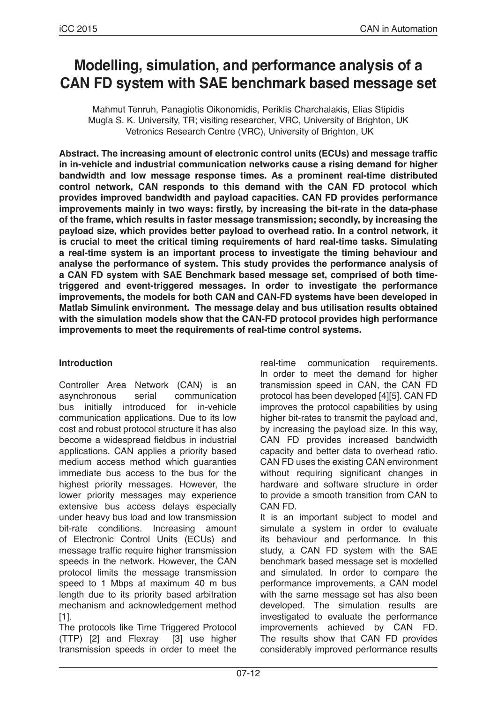# **Modelling, simulation, and performance analysis of a CAN FD system with SAE benchmark based message set**

Mahmut Tenruh, Panagiotis Oikonomidis, Periklis Charchalakis, Elias Stipidis Mugla S. K. University, TR; visiting researcher, VRC, University of Brighton, UK Vetronics Research Centre (VRC), University of Brighton, UK

**Abstract. The increasing amount of electronic control units (ECUs) and message traffic in in-vehicle and industrial communication networks cause a rising demand for higher bandwidth and low message response times. As a prominent real-time distributed control network, CAN responds to this demand with the CAN FD protocol which provides improved bandwidth and payload capacities. CAN FD provides performance improvements mainly in two ways: firstly, by increasing the bit-rate in the data-phase of the frame, which results in faster message transmission; secondly, by increasing the payload size, which provides better payload to overhead ratio. In a control network, it is crucial to meet the critical timing requirements of hard real-time tasks. Simulating a real-time system is an important process to investigate the timing behaviour and analyse the performance of system. This study provides the performance analysis of a CAN FD system with SAE Benchmark based message set, comprised of both timetriggered and event-triggered messages. In order to investigate the performance improvements, the models for both CAN and CAN-FD systems have been developed in Matlab Simulink environment. The message delay and bus utilisation results obtained with the simulation models show that the CAN-FD protocol provides high performance improvements to meet the requirements of real-time control systems.**

### **Introduction**

Controller Area Network (CAN) is an asynchronous serial communication bus initially introduced for in-vehicle communication applications. Due to its low cost and robust protocol structure it has also become a widespread fieldbus in industrial applications. CAN applies a priority based medium access method which guaranties immediate bus access to the bus for the highest priority messages. However, the lower priority messages may experience extensive bus access delays especially under heavy bus load and low transmission bit-rate conditions. Increasing amount of Electronic Control Units (ECUs) and message traffic require higher transmission speeds in the network. However, the CAN protocol limits the message transmission speed to 1 Mbps at maximum 40 m bus length due to its priority based arbitration mechanism and acknowledgement method [1].

The protocols like Time Triggered Protocol (TTP) [2] and Flexray [3] use higher transmission speeds in order to meet the real-time communication requirements. In order to meet the demand for higher transmission speed in CAN, the CAN FD protocol has been developed [4][5]. CAN FD improves the protocol capabilities by using higher bit-rates to transmit the payload and, by increasing the payload size. In this way, CAN FD provides increased bandwidth capacity and better data to overhead ratio. CAN FD uses the existing CAN environment without requiring significant changes in hardware and software structure in order to provide a smooth transition from CAN to CAN FD.

It is an important subject to model and simulate a system in order to evaluate its behaviour and performance. In this study, a CAN FD system with the SAE benchmark based message set is modelled and simulated. In order to compare the performance improvements, a CAN model with the same message set has also been developed. The simulation results are investigated to evaluate the performance improvements achieved by CAN FD. The results show that CAN FD provides considerably improved performance results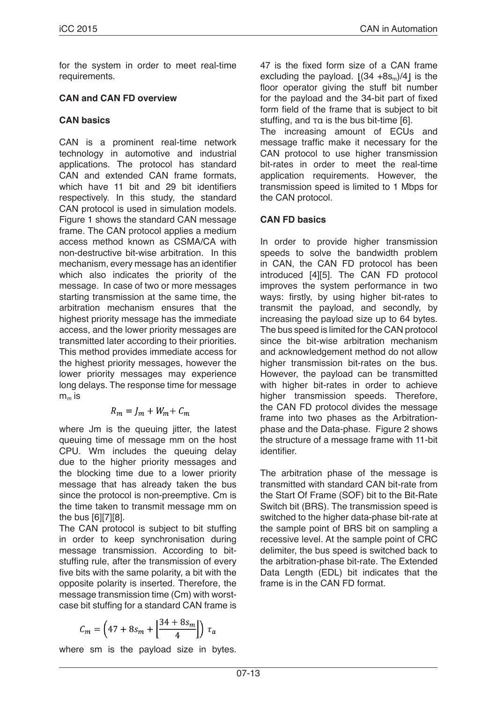for the system in order to meet real-time requirements.

### **CAN and CAN FD overview**

# **CAN basics**

CAN is a prominent real-time network technology in automotive and industrial applications. The protocol has standard CAN and extended CAN frame formats, which have 11 bit and 29 bit identifiers respectively. In this study, the standard CAN protocol is used in simulation models. Figure 1 shows the standard CAN message frame. The CAN protocol applies a medium access method known as CSMA/CA with non-destructive bit-wise arbitration. In this mechanism, every message has an identifier which also indicates the priority of the message. In case of two or more messages starting transmission at the same time, the arbitration mechanism ensures that the highest priority message has the immediate access, and the lower priority messages are transmitted later according to their priorities. This method provides immediate access for the highest priority messages, however the lower priority messages may experience long delays. The response time for message m*m* is

$$
R_m = J_m + W_m + C_m
$$

where Jm is the queuing jitter, the latest queuing time of message mm on the host CPU. Wm includes the queuing delay due to the higher priority messages and the blocking time due to a lower priority message that has already taken the bus since the protocol is non-preemptive. Cm is the time taken to transmit message mm on the bus [6][7][8].

The CAN protocol is subject to bit stuffing in order to keep synchronisation during message transmission. According to bitstuffing rule, after the transmission of every five bits with the same polarity, a bit with the opposite polarity is inserted. Therefore, the message transmission time (Cm) with worstcase bit stuffing for a standard CAN frame is

$$
C_m = \left(47 + 8s_m + \left[\frac{34 + 8s_m}{4}\right]\right) \tau_a
$$

where sm is the payload size in bytes.

47 is the fixed form size of a CAN frame excluding the payload.  $|(34 + 8s_m)/4|$  is the floor operator giving the stuff bit number for the payload and the 34-bit part of fixed form field of the frame that is subject to bit stuffing, and τα is the bus bit-time [6].

The increasing amount of ECUs and message traffic make it necessary for the CAN protocol to use higher transmission bit-rates in order to meet the real-time application requirements. However, the transmission speed is limited to 1 Mbps for the CAN protocol.

# **CAN FD basics**

In order to provide higher transmission speeds to solve the bandwidth problem in CAN, the CAN FD protocol has been introduced [4][5]. The CAN FD protocol improves the system performance in two ways: firstly, by using higher bit-rates to transmit the payload, and secondly, by increasing the payload size up to 64 bytes. The bus speed is limited for the CAN protocol since the bit-wise arbitration mechanism and acknowledgement method do not allow higher transmission bit-rates on the bus. However, the payload can be transmitted with higher bit-rates in order to achieve higher transmission speeds. Therefore, the CAN FD protocol divides the message frame into two phases as the Arbitrationphase and the Data-phase. Figure 2 shows the structure of a message frame with 11-bit identifier.

The arbitration phase of the message is transmitted with standard CAN bit-rate from the Start Of Frame (SOF) bit to the Bit-Rate Switch bit (BRS). The transmission speed is switched to the higher data-phase bit-rate at the sample point of BRS bit on sampling a recessive level. At the sample point of CRC delimiter, the bus speed is switched back to the arbitration-phase bit-rate. The Extended Data Length (EDL) bit indicates that the frame is in the CAN FD format.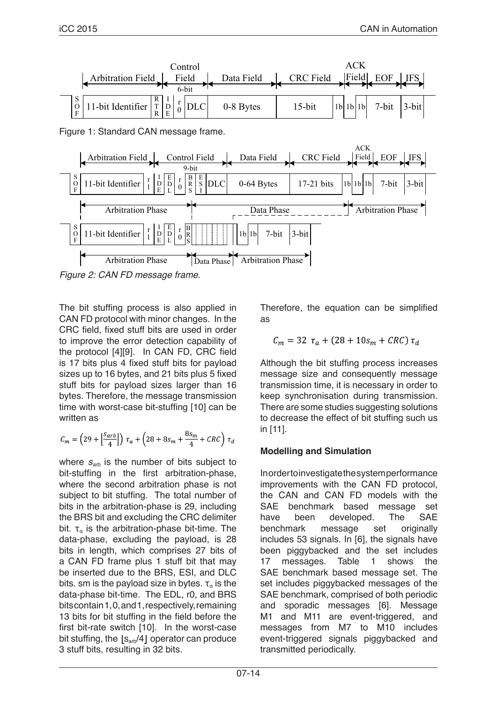

*Figure 2: CAN FD message frame.* 

The bit stuffing process is also applied in CAN FD protocol with minor changes. In the CRC field, fixed stuff bits are used in order to improve the error detection capability of the protocol [4][9]. In CAN FD, CRC field is 17 bits plus 4 fixed stuff bits for payload sizes up to 16 bytes, and 21 bits plus 5 fixed stuff bits for payload sizes larger than 16 bytes. Therefore, the message transmission time with worst-case bit-stuffing [10] can be written as

$$
\mathcal{C}_m = \left(29 + \Big\lfloor \frac{S_{arb}}{4} \Big\rfloor \right)\,\tau_a + \left(28 + 8 s_m + \frac{8 s_m}{4} + \mathcal{C}RC \right)\,\tau_d
$$

where  $S_{\text{arb}}$  is the number of bits subject to bit-stuffing in the first arbitration-phase, where the second arbitration phase is not subject to bit stuffing. The total number of bits in the arbitration-phase is 29, including the BRS bit and excluding the CRC delimiter bit.  $\tau_a$  is the arbitration-phase bit-time. The data-phase, excluding the payload, is 28 bits in length, which comprises 27 bits of a CAN FD frame plus 1 stuff bit that may be inserted due to the BRS, ESI, and DLC bits. sm is the payload size in bytes.  $\tau_a$  is the data-phase bit-time. The EDL, r0, and BRS bits contain 1, 0, and 1, respectively, remaining 13 bits for bit stuffing in the field before the first bit-rate switch [10]. In the worst-case bit stuffing, the  $|s_{arb}/4|$  operator can produce 3 stuff bits, resulting in 32 bits.

Therefore, the equation can be simplified as

$$
C_m = 32 \ \tau_a + (28 + 10 s_m + CRC) \tau_d
$$

Although the bit stuffing process increases message size and consequently message transmission time, it is necessary in order to keep synchronisation during transmission. There are some studies suggesting solutions to decrease the effect of bit stuffing such us in [11].

# **Modelling and Simulation**

In order to investigate the system performance improvements with the CAN FD protocol, the CAN and CAN FD models with the SAE benchmark based message set have been developed. The SAE benchmark message set originally includes 53 signals. In [6], the signals have been piggybacked and the set includes 17 messages. Table 1 shows the SAE benchmark based message set. The set includes piggybacked messages of the SAE benchmark, comprised of both periodic and sporadic messages [6]. Message M1 and M11 are event-triggered, and messages from M7 to M10 includes event-triggered signals piggybacked and transmitted periodically.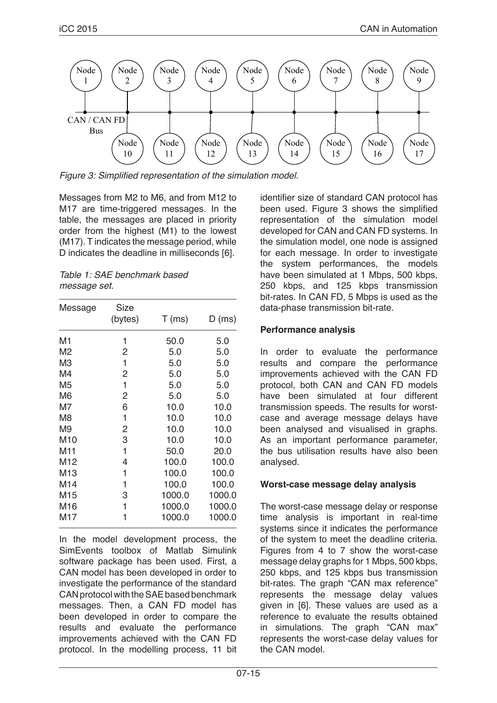

Figure 3: Simplified representation of the simulation model.

Messages from M2 to M6, and from M12 to M17 are time-triggered messages. In the table, the messages are placed in priority order from the highest (M1) to the lowest (M17). T indicates the message period, while D indicates the deadline in milliseconds [6].

| Table 1: SAE benchmark based |  |
|------------------------------|--|
| message set.                 |  |

| Message         | <b>Size</b> |          |          |
|-----------------|-------------|----------|----------|
|                 | (bytes)     | $T$ (ms) | $D$ (ms) |
| M1              | 1           | 50.0     | 5.0      |
| M2              | 2           | 5.0      | 5.0      |
| MЗ              | 1           | 5.0      | 5.0      |
| M4              | 2           | 5.0      | 5.0      |
| M5              | 1           | 5.0      | 5.0      |
| M6              | 2           | 5.0      | 5.0      |
| M7              | 6           | 10.0     | 10.0     |
| M8              | 1           | 10.0     | 10.0     |
| M9              | 2           | 10.0     | 10.0     |
| M10             | 3           | 10.0     | 10.0     |
| M <sub>11</sub> | 1           | 50.0     | 20.0     |
| M <sub>12</sub> | 4           | 100.0    | 100.0    |
| M13             | 1           | 100.0    | 100.0    |
| M14             | 1           | 100.0    | 100.0    |
| M15             | 3           | 1000.0   | 1000.0   |
| M16             | 1           | 1000.0   | 1000.0   |
| M17             | 1           | 1000.0   | 1000.0   |
|                 |             |          |          |

In the model development process, the SimEvents toolbox of Matlab Simulink software package has been used. First, a CAN model has been developed in order to investigate the performance of the standard CAN protocol with the SAE based benchmark messages. Then, a CAN FD model has been developed in order to compare the results and evaluate the performance improvements achieved with the CAN FD protocol. In the modelling process, 11 bit identifier size of standard CAN protocol has been used. Figure 3 shows the simplified representation of the simulation model developed for CAN and CAN FD systems. In the simulation model, one node is assigned for each message. In order to investigate the system performances, the models have been simulated at 1 Mbps, 500 kbps, 250 kbps, and 125 kbps transmission bit-rates. In CAN FD, 5 Mbps is used as the data-phase transmission bit-rate.

# **Performance analysis**

In order to evaluate the performance results and compare the performance improvements achieved with the CAN FD protocol, both CAN and CAN FD models have been simulated at four different transmission speeds. The results for worstcase and average message delays have been analysed and visualised in graphs. As an important performance parameter, the bus utilisation results have also been analysed.

### **Worst-case message delay analysis**

The worst-case message delay or response time analysis is important in real-time systems since it indicates the performance of the system to meet the deadline criteria. Figures from 4 to 7 show the worst-case message delay graphs for 1 Mbps, 500 kbps, 250 kbps, and 125 kbps bus transmission bit-rates. The graph "CAN max reference" represents the message delay values given in [6]. These values are used as a reference to evaluate the results obtained in simulations. The graph "CAN max" represents the worst-case delay values for the CAN model.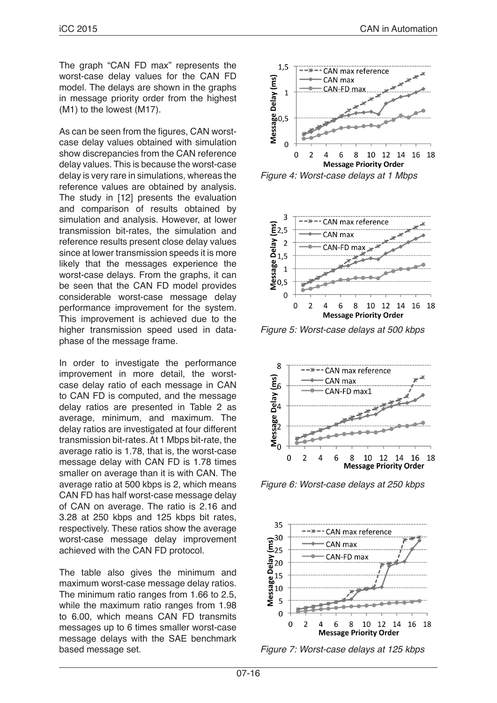The graph "CAN FD max" represents the worst-case delay values for the CAN FD model. The delays are shown in the graphs in message priority order from the highest (M1) to the lowest (M17).

As can be seen from the figures, CAN worstcase delay values obtained with simulation show discrepancies from the CAN reference delay values. This is because the worst-case delay is very rare in simulations, whereas the reference values are obtained by analysis. The study in [12] presents the evaluation and comparison of results obtained by simulation and analysis. However, at lower transmission bit-rates, the simulation and reference results present close delay values since at lower transmission speeds it is more likely that the messages experience the worst-case delays. From the graphs, it can be seen that the CAN FD model provides considerable worst-case message delay performance improvement for the system. This improvement is achieved due to the higher transmission speed used in dataphase of the message frame.

In order to investigate the performance improvement in more detail, the worstcase delay ratio of each message in CAN to CAN FD is computed, and the message delay ratios are presented in Table 2 as average, minimum, and maximum. The delay ratios are investigated at four different transmission bit-rates. At 1 Mbps bit-rate, the average ratio is 1.78, that is, the worst-case message delay with CAN FD is 1.78 times smaller on average than it is with CAN. The average ratio at 500 kbps is 2, which means CAN FD has half worst-case message delay of CAN on average. The ratio is 2.16 and 3.28 at 250 kbps and 125 kbps bit rates, respectively. These ratios show the average worst-case message delay improvement achieved with the CAN FD protocol.

The table also gives the minimum and maximum worst-case message delay ratios. The minimum ratio ranges from 1.66 to 2.5, while the maximum ratio ranges from 1.98 to 6.00, which means CAN FD transmits messages up to 6 times smaller worst-case message delays with the SAE benchmark based message set.



*Figure 4: Worst-case delays at 1 Mbps*



*Figure 5: Worst-case delays at 500 kbps*



*Figure 6: Worst-case delays at 250 kbps*



*Figure 7: Worst-case delays at 125 kbps*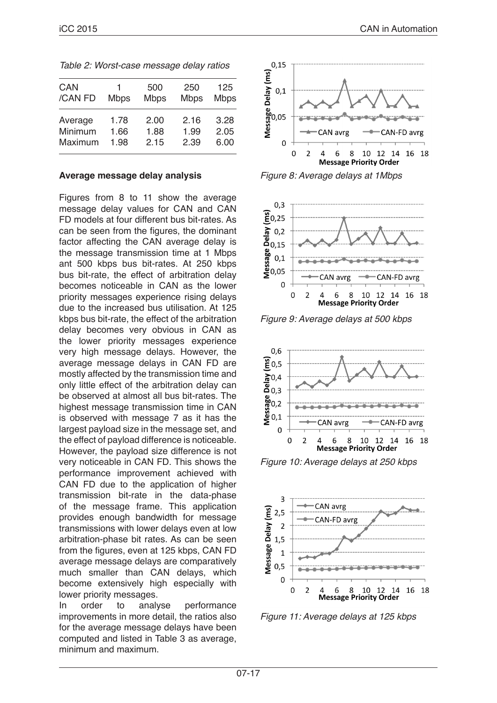| <b>CAN</b><br>/CAN FD | 1<br><b>Mbps</b> | 500<br><b>Mbps</b> | 250<br><b>Mbps</b> | 125<br><b>Mbps</b> |
|-----------------------|------------------|--------------------|--------------------|--------------------|
| Average               | 1.78             | 2.00               | 2.16               | 3.28               |
| Minimum               | 1.66             | 1.88               | 1.99               | 2.05               |
| Maximum               | 1.98             | 2.15               | 2.39               | 6.00               |

*Table 2: Worst-case message delay ratios*

#### **Average message delay analysis**

Figures from 8 to 11 show the average message delay values for CAN and CAN FD models at four different bus bit-rates. As can be seen from the figures, the dominant factor affecting the CAN average delay is the message transmission time at 1 Mbps ant 500 kbps bus bit-rates. At 250 kbps bus bit-rate, the effect of arbitration delay becomes noticeable in CAN as the lower priority messages experience rising delays due to the increased bus utilisation. At 125 kbps bus bit-rate, the effect of the arbitration delay becomes very obvious in CAN as the lower priority messages experience very high message delays. However, the average message delays in CAN FD are mostly affected by the transmission time and only little effect of the arbitration delay can be observed at almost all bus bit-rates. The highest message transmission time in CAN is observed with message 7 as it has the largest payload size in the message set, and the effect of payload difference is noticeable. However, the payload size difference is not very noticeable in CAN FD. This shows the performance improvement achieved with CAN FD due to the application of higher transmission bit-rate in the data-phase of the message frame. This application provides enough bandwidth for message transmissions with lower delays even at low arbitration-phase bit rates. As can be seen from the figures, even at 125 kbps, CAN FD average message delays are comparatively much smaller than CAN delays, which become extensively high especially with

lower priority messages.<br>In order to analy In order to analyse performance improvements in more detail, the ratios also for the average message delays have been computed and listed in Table 3 as average, minimum and maximum.



*Figure 8: Average delays at 1Mbps*



*Figure 9: Average delays at 500 kbps*



*Figure 10: Average delays at 250 kbps*



*Figure 11: Average delays at 125 kbps*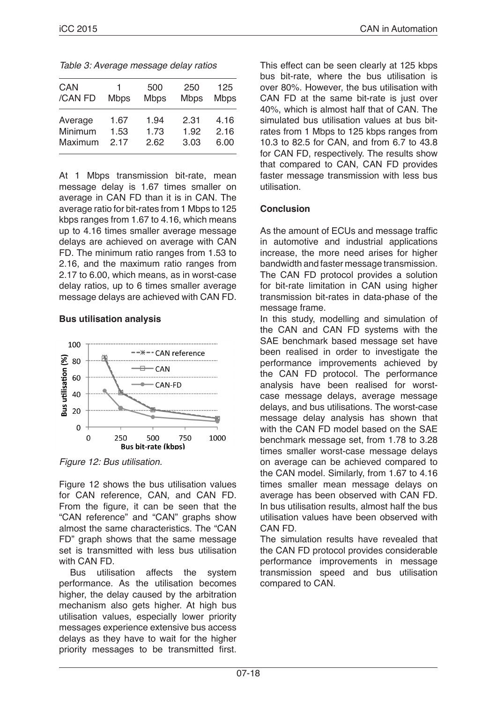| CAN     | 1           | 500         | 250         | 125         |
|---------|-------------|-------------|-------------|-------------|
| /CAN FD | <b>Mbps</b> | <b>Mbps</b> | <b>Mbps</b> | <b>Mbps</b> |
| Average | 1.67        | 1.94        | 2.31        | 4.16        |
| Minimum | 1.53        | 1.73        | 1.92        | 2.16        |
| Maximum | 217         | 2.62        | 3.03        | 6.00        |

At 1 Mbps transmission bit-rate, mean message delay is 1.67 times smaller on average in CAN FD than it is in CAN. The average ratio for bit-rates from 1 Mbps to 125 kbps ranges from 1.67 to 4.16, which means up to 4.16 times smaller average message delays are achieved on average with CAN FD. The minimum ratio ranges from 1.53 to 2.16, and the maximum ratio ranges from 2.17 to 6.00, which means, as in worst-case delay ratios, up to 6 times smaller average message delays are achieved with CAN FD.

### **Bus utilisation analysis**



*Figure 12: Bus utilisation.* 

Figure 12 shows the bus utilisation values for CAN reference, CAN, and CAN FD. From the figure, it can be seen that the "CAN reference" and "CAN" graphs show almost the same characteristics. The "CAN FD" graph shows that the same message set is transmitted with less bus utilisation with CAN FD.

 Bus utilisation affects the system performance. As the utilisation becomes higher, the delay caused by the arbitration mechanism also gets higher. At high bus utilisation values, especially lower priority messages experience extensive bus access delays as they have to wait for the higher priority messages to be transmitted first. This effect can be seen clearly at 125 kbps bus bit-rate, where the bus utilisation is over 80%. However, the bus utilisation with CAN FD at the same bit-rate is just over 40%, which is almost half that of CAN. The simulated bus utilisation values at bus bitrates from 1 Mbps to 125 kbps ranges from 10.3 to 82.5 for CAN, and from 6.7 to 43.8 for CAN FD, respectively. The results show that compared to CAN, CAN FD provides faster message transmission with less bus utilisation.

# **Conclusion**

As the amount of ECUs and message traffic in automotive and industrial applications increase, the more need arises for higher bandwidth and faster message transmission. The CAN FD protocol provides a solution for bit-rate limitation in CAN using higher transmission bit-rates in data-phase of the message frame.

In this study, modelling and simulation of the CAN and CAN FD systems with the SAE benchmark based message set have been realised in order to investigate the performance improvements achieved by the CAN FD protocol. The performance analysis have been realised for worstcase message delays, average message delays, and bus utilisations. The worst-case message delay analysis has shown that with the CAN FD model based on the SAE benchmark message set, from 1.78 to 3.28 times smaller worst-case message delays on average can be achieved compared to the CAN model. Similarly, from 1.67 to 4.16 times smaller mean message delays on average has been observed with CAN FD. In bus utilisation results, almost half the bus utilisation values have been observed with CAN FD.

The simulation results have revealed that the CAN FD protocol provides considerable performance improvements in message transmission speed and bus utilisation compared to CAN.